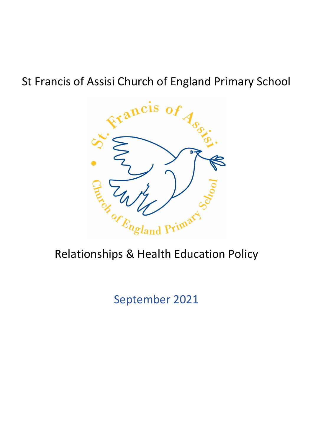# St Francis of Assisi Church of England Primary School



# Relationships & Health Education Policy

September 2021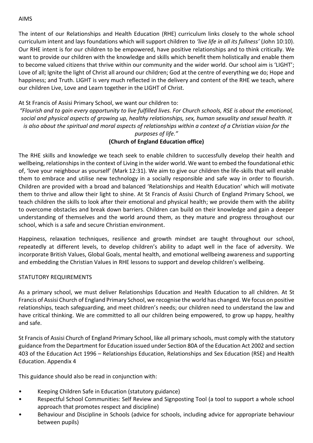## AIMS

The intent of our Relationships and Health Education (RHE) curriculum links closely to the whole school curriculum intent and lays foundations which will support children to *'live life in all its fullness'* (John 10:10). Our RHE intent is for our children to be empowered, have positive relationships and to think critically. We want to provide our children with the knowledge and skills which benefit them holistically and enable them to become valued citizens that thrive within our community and the wider world. Our school aim is 'LIGHT'; Love of all; Ignite the light of Christ all around our children; God at the centre of everything we do; Hope and happiness; and Truth. LIGHT is very much reflected in the delivery and content of the RHE we teach, where our children Live, Love and Learn together in the LIGHT of Christ.

## At St Francis of Assisi Primary School, we want our children to:

*"Flourish and to gain every opportunity to live fulfilled lives. For Church schools, RSE is about the emotional, social and physical aspects of growing up, healthy relationships, sex, human sexuality and sexual health. It is also about the spiritual and moral aspects of relationships within a context of a Christian vision for the purposes of life."*

## **(Church of England Education office)**

The RHE skills and knowledge we teach seek to enable children to successfully develop their health and wellbeing, relationships in the context of Living in the wider world. We want to embed the foundational ethic of, 'love your neighbour as yourself' (Mark 12:31). We aim to give our children the life-skills that will enable them to embrace and utilise new technology in a socially responsible and safe way in order to flourish. Children are provided with a broad and balanced 'Relationships and Health Education' which will motivate them to thrive and allow their light to shine. At St Francis of Assisi Church of England Primary School, we teach children the skills to look after their emotional and physical health; we provide them with the ability to overcome obstacles and break down barriers. Children can build on their knowledge and gain a deeper understanding of themselves and the world around them, as they mature and progress throughout our school, which is a safe and secure Christian environment.

Happiness, relaxation techniques, resilience and growth mindset are taught throughout our school, repeatedly at different levels, to develop children's ability to adapt well in the face of adversity. We incorporate British Values, Global Goals, mental health, and emotional wellbeing awareness and supporting and embedding the Christian Values in RHE lessons to support and develop children's wellbeing.

## STATUTORY REQUIREMENTS

As a primary school, we must deliver Relationships Education and Health Education to all children. At St Francis of Assisi Church of England Primary School, we recognise the world has changed. We focus on positive relationships, teach safeguarding, and meet children's needs; our children need to understand the law and have critical thinking. We are committed to all our children being empowered, to grow up happy, healthy and safe.

St Francis of Assisi Church of England Primary School, like all primary schools, must comply with the statutory guidance from the Department for Education issued under Section 80A of the Education Act 2002 and section 403 of the Education Act 1996 – Relationships Education, Relationships and Sex Education (RSE) and Health Education. Appendix 4

This guidance should also be read in conjunction with:

- Keeping Children Safe in Education (statutory guidance)
- Respectful School Communities: Self Review and Signposting Tool (a tool to support a whole school approach that promotes respect and discipline)
- Behaviour and Discipline in Schools (advice for schools, including advice for appropriate behaviour between pupils)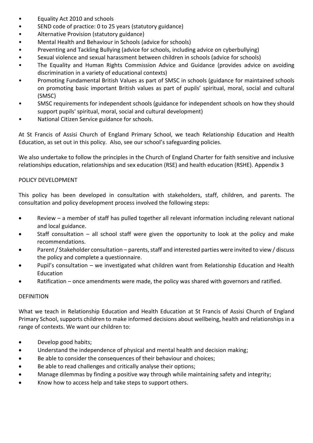- Equality Act 2010 and schools
- SEND code of practice: 0 to 25 years (statutory guidance)
- Alternative Provision (statutory guidance)
- Mental Health and Behaviour in Schools (advice for schools)
- Preventing and Tackling Bullying (advice for schools, including advice on cyberbullying)
- Sexual violence and sexual harassment between children in schools (advice for schools)
- The Equality and Human Rights Commission Advice and Guidance (provides advice on avoiding discrimination in a variety of educational contexts)
- Promoting Fundamental British Values as part of SMSC in schools (guidance for maintained schools on promoting basic important British values as part of pupils' spiritual, moral, social and cultural (SMSC)
- SMSC requirements for independent schools (guidance for independent schools on how they should support pupils' spiritual, moral, social and cultural development)
- National Citizen Service guidance for schools.

At St Francis of Assisi Church of England Primary School, we teach Relationship Education and Health Education, as set out in this policy. Also, see our school's safeguarding policies.

We also undertake to follow the principles in the Church of England Charter for faith sensitive and inclusive relationships education, relationships and sex education (RSE) and health education (RSHE). Appendix 3

## POLICY DEVELOPMENT

This policy has been developed in consultation with stakeholders, staff, children, and parents. The consultation and policy development process involved the following steps:

- Review a member of staff has pulled together all relevant information including relevant national and local guidance.
- Staff consultation  $-$  all school staff were given the opportunity to look at the policy and make recommendations.
- Parent / Stakeholder consultation parents, staff and interested parties were invited to view / discuss the policy and complete a questionnaire.
- Pupil's consultation we investigated what children want from Relationship Education and Health Education
- Ratification once amendments were made, the policy was shared with governors and ratified.

## DEFINITION

What we teach in Relationship Education and Health Education at St Francis of Assisi Church of England Primary School, supports children to make informed decisions about wellbeing, health and relationships in a range of contexts. We want our children to:

- Develop good habits;
- Understand the independence of physical and mental health and decision making;
- Be able to consider the consequences of their behaviour and choices;
- Be able to read challenges and critically analyse their options;
- Manage dilemmas by finding a positive way through while maintaining safety and integrity;
- Know how to access help and take steps to support others.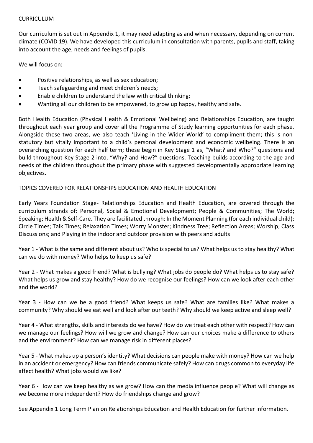## CURRICULUM

Our curriculum is set out in Appendix 1, it may need adapting as and when necessary, depending on current climate (COVID 19). We have developed this curriculum in consultation with parents, pupils and staff, taking into account the age, needs and feelings of pupils.

We will focus on:

- Positive relationships, as well as sex education;
- Teach safeguarding and meet children's needs;
- Enable children to understand the law with critical thinking;
- Wanting all our children to be empowered, to grow up happy, healthy and safe.

Both Health Education (Physical Health & Emotional Wellbeing) and Relationships Education, are taught throughout each year group and cover all the Programme of Study learning opportunities for each phase. Alongside these two areas, we also teach 'Living in the Wider World' to compliment them; this is nonstatutory but vitally important to a child's personal development and economic wellbeing. There is an overarching question for each half term; these begin in Key Stage 1 as, "What? and Who?" questions and build throughout Key Stage 2 into, "Why? and How?" questions. Teaching builds according to the age and needs of the children throughout the primary phase with suggested developmentally appropriate learning objectives.

TOPICS COVERED FOR RELATIONSHIPS EDUCATION AND HEALTH EDUCATION

Early Years Foundation Stage- Relationships Education and Health Education, are covered through the curriculum strands of: Personal, Social & Emotional Development; People & Communities; The World; Speaking; Health & Self-Care. They are facilitated through: In the Moment Planning (for each individual child); Circle Times; Talk Times; Relaxation Times; Worry Monster; Kindness Tree; Reflection Areas; Worship; Class Discussions; and Playing in the indoor and outdoor provision with peers and adults

Year 1 - What is the same and different about us? Who is special to us? What helps us to stay healthy? What can we do with money? Who helps to keep us safe?

Year 2 - What makes a good friend? What is bullying? What jobs do people do? What helps us to stay safe? What helps us grow and stay healthy? How do we recognise our feelings? How can we look after each other and the world?

Year 3 - How can we be a good friend? What keeps us safe? What are families like? What makes a community? Why should we eat well and look after our teeth? Why should we keep active and sleep well?

Year 4 - What strengths, skills and interests do we have? How do we treat each other with respect? How can we manage our feelings? How will we grow and change? How can our choices make a difference to others and the environment? How can we manage risk in different places?

Year 5 - What makes up a person's identity? What decisions can people make with money? How can we help in an accident or emergency? How can friends communicate safely? How can drugs common to everyday life affect health? What jobs would we like?

Year 6 - How can we keep healthy as we grow? How can the media influence people? What will change as we become more independent? How do friendships change and grow?

See Appendix 1 Long Term Plan on Relationships Education and Health Education for further information.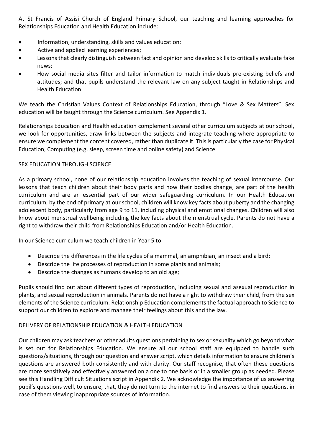At St Francis of Assisi Church of England Primary School, our teaching and learning approaches for Relationships Education and Health Education include:

- Information, understanding, skills and values education;
- Active and applied learning experiences;
- Lessons that clearly distinguish between fact and opinion and develop skills to critically evaluate fake news;
- How social media sites filter and tailor information to match individuals pre-existing beliefs and attitudes; and that pupils understand the relevant law on any subject taught in Relationships and Health Education.

We teach the Christian Values Context of Relationships Education, through "Love & Sex Matters". Sex education will be taught through the Science curriculum. See Appendix 1.

Relationships Education and Health education complement several other curriculum subjects at our school, we look for opportunities, draw links between the subjects and integrate teaching where appropriate to ensure we complement the content covered, rather than duplicate it. This is particularly the case for Physical Education, Computing (e.g. sleep, screen time and online safety) and Science.

## SEX EDUCATION THROUGH SCIENCE

As a primary school, none of our relationship education involves the teaching of sexual intercourse. Our lessons that teach children about their body parts and how their bodies change, are part of the health curriculum and are an essential part of our wider safeguarding curriculum. In our Health Education curriculum, by the end of primary at our school, children will know key facts about puberty and the changing adolescent body, particularly from age 9 to 11, including physical and emotional changes. Children will also know about menstrual wellbeing including the key facts about the menstrual cycle. Parents do not have a right to withdraw their child from Relationships Education and/or Health Education.

In our Science curriculum we teach children in Year 5 to:

- Describe the differences in the life cycles of a mammal, an amphibian, an insect and a bird;
- Describe the life processes of reproduction in some plants and animals;
- Describe the changes as humans develop to an old age;

Pupils should find out about different types of reproduction, including sexual and asexual reproduction in plants, and sexual reproduction in animals. Parents do not have a right to withdraw their child, from the sex elements of the Science curriculum. Relationship Education complements the factual approach to Science to support our children to explore and manage their feelings about this and the law.

#### DELIVERY OF RELATIONSHIP EDUCATION & HEALTH EDUCATION

Our children may ask teachers or other adults questions pertaining to sex or sexuality which go beyond what is set out for Relationships Education. We ensure all our school staff are equipped to handle such questions/situations, through our question and answer script, which details information to ensure children's questions are answered both consistently and with clarity. Our staff recognise, that often these questions are more sensitively and effectively answered on a one to one basis or in a smaller group as needed. Please see this Handling Difficult Situations script in Appendix 2. We acknowledge the importance of us answering pupil's questions well, to ensure, that, they do not turn to the internet to find answers to their questions, in case of them viewing inappropriate sources of information.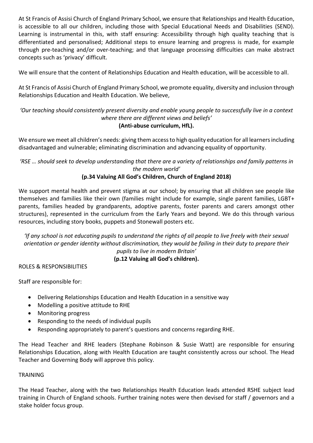At St Francis of Assisi Church of England Primary School, we ensure that Relationships and Health Education, is accessible to all our children, including those with Special Educational Needs and Disabilities (SEND). Learning is instrumental in this, with staff ensuring: Accessibility through high quality teaching that is differentiated and personalised; Additional steps to ensure learning and progress is made, for example through pre-teaching and/or over-teaching; and that language processing difficulties can make abstract concepts such as 'privacy' difficult.

We will ensure that the content of Relationships Education and Health education, will be accessible to all.

At St Francis of Assisi Church of England Primary School, we promote equality, diversity and inclusion through Relationships Education and Health Education. We believe,

*'Our teaching should consistently present diversity and enable young people to successfully live in a context where there are different views and beliefs'* **(Anti-abuse curriculum, HfL).**

We ensure we meet all children's needs: giving them access to high quality education for all learners including disadvantaged and vulnerable; eliminating discrimination and advancing equality of opportunity.

## *'RSE … should seek to develop understanding that there are a variety of relationships and family patterns in the modern world'*

## **(p.34 Valuing All God's Children, Church of England 2018)**

We support mental health and prevent stigma at our school; by ensuring that all children see people like themselves and families like their own (families might include for example, single parent families, LGBT+ parents, families headed by grandparents, adoptive parents, foster parents and carers amongst other structures), represented in the curriculum from the Early Years and beyond. We do this through various resources, including story books, puppets and Stonewall posters etc.

*'If any school is not educating pupils to understand the rights of all people to live freely with their sexual orientation or gender identity without discrimination, they would be failing in their duty to prepare their pupils to live in modern Britain'* **(p.12 Valuing all God's children).**

ROLES & RESPONSIBILITIES

Staff are responsible for:

- Delivering Relationships Education and Health Education in a sensitive way
- Modelling a positive attitude to RHE
- Monitoring progress
- Responding to the needs of individual pupils
- Responding appropriately to parent's questions and concerns regarding RHE.

The Head Teacher and RHE leaders (Stephane Robinson & Susie Watt) are responsible for ensuring Relationships Education, along with Health Education are taught consistently across our school. The Head Teacher and Governing Body will approve this policy.

#### TRAINING

The Head Teacher, along with the two Relationships Health Education leads attended RSHE subject lead training in Church of England schools. Further training notes were then devised for staff / governors and a stake holder focus group.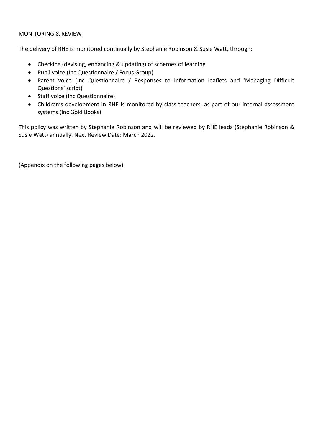## MONITORING & REVIEW

The delivery of RHE is monitored continually by Stephanie Robinson & Susie Watt, through:

- Checking (devising, enhancing & updating) of schemes of learning
- Pupil voice (Inc Questionnaire / Focus Group)
- Parent voice (Inc Questionnaire / Responses to information leaflets and 'Managing Difficult Questions' script)
- Staff voice (Inc Questionnaire)
- Children's development in RHE is monitored by class teachers, as part of our internal assessment systems (Inc Gold Books)

This policy was written by Stephanie Robinson and will be reviewed by RHE leads (Stephanie Robinson & Susie Watt) annually. Next Review Date: March 2022.

(Appendix on the following pages below)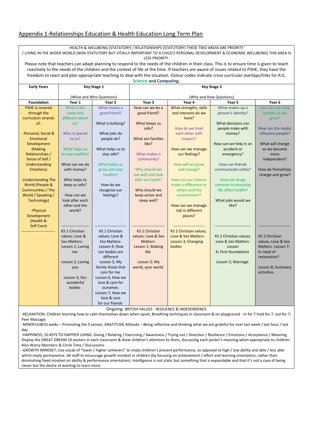## Appendix 1-Relationships Education & Health Education Long Term Plan

HEALTH & WELLBEING (STATATORY) / RELATIONSHIPS (STATUTORY) THESE TWO AREAS ARE PRIORITY / LIVING IN THE WIDER WORLD (NON-STATUTORY BUT VITALLY IMPORTANT TO A CHILD'S PERSONAL DEVELOPMENT & ECONOMIC WELLBEING) THIS AREA IS LESS PRIORITY.

Please note that teachers can adapt planning to respond to the needs of the children in their class. This is to ensure time is given to teach reactively to the needs of the children and the context of life at the time. If teachers are aware of issues related to PSHE, they have the freedom to react and plan appropriate teaching to deal with the situation. Colour codes indicate cross curricular overlaps/links for **R.E,**

**Science and Computing.**

| <b>Early Years</b>                                                                                                                                                  | Key Stage 1                                                                                                                                          |                                                                                                                                                                                                                                                                | <b>Key Stage 2</b>                                                                                                     |                                                                                                                                                   |                                                                                                                  |                                                                                                                                    |
|---------------------------------------------------------------------------------------------------------------------------------------------------------------------|------------------------------------------------------------------------------------------------------------------------------------------------------|----------------------------------------------------------------------------------------------------------------------------------------------------------------------------------------------------------------------------------------------------------------|------------------------------------------------------------------------------------------------------------------------|---------------------------------------------------------------------------------------------------------------------------------------------------|------------------------------------------------------------------------------------------------------------------|------------------------------------------------------------------------------------------------------------------------------------|
|                                                                                                                                                                     | (What and Who Questions)                                                                                                                             |                                                                                                                                                                                                                                                                | (Why and How Questions)                                                                                                |                                                                                                                                                   |                                                                                                                  |                                                                                                                                    |
| <b>Foundation</b>                                                                                                                                                   | Year 1                                                                                                                                               | Year <sub>2</sub>                                                                                                                                                                                                                                              | Year 3                                                                                                                 | Year 4                                                                                                                                            | Year 5                                                                                                           | Year 6                                                                                                                             |
| <b>PSHE</b> is covered<br>through the<br>curriculum strands<br>of:<br>-Personal, Social &                                                                           | What is the<br>same and<br>different about<br>us?<br>Who is special                                                                                  | What makes a<br>good friend?<br>What is bullying?<br>What jobs do                                                                                                                                                                                              | How can we be a<br>good friend?<br>What keeps us<br>safe?                                                              | What strengths, skills<br>and interests do we<br>have?<br>How do we treat<br>each other with                                                      | What makes up a<br>person's identity?<br>What decisions can<br>people make with<br>money?                        | How can we keep<br>healthy as we<br>grow?<br>How can the media<br>influence people?                                                |
| <b>Emotional</b><br>Development<br>(Making<br><b>Relationships /</b><br>Sense of Self /<br>Understanding                                                            | to us?<br>What helps us<br>to stay healthy?<br>What can we do                                                                                        | people do?<br>What helps us to<br>stay safe?<br>What helps us                                                                                                                                                                                                  | What are families<br>like?<br>What makes a<br>community?                                                               | respect?<br>How can we manage<br>our feelings?<br>How will we grow                                                                                | How can we help in an<br>accident or<br>emergency?<br>How can friends                                            | What will change<br>as we become<br>more<br>independent?                                                                           |
| Emotions)<br>-Understanding The<br>World (People &<br>Communities / The<br>World / Speaking /<br>Technology)<br>-Physical<br>Development<br>(Health &<br>Self-Care) | with money?<br>Who helps to<br>keep us safe?<br>How can we<br>look after each<br>other and the<br>world?                                             | grow and stay<br>healthy?<br>How do we<br>recognise our<br>feelings?                                                                                                                                                                                           | Why should we<br>eat well and look<br>after our teeth?<br>Why should we<br>keep active and<br>sleep well?              | and change?<br>How can our choices<br>make a difference to<br>others and the<br>environment?<br>How can we manage<br>risk in different<br>places? | communicate safely?<br>How can drugs<br>common to everyday<br>life affect health?<br>What jobs would we<br>like? | How do friendships<br>change and grow?                                                                                             |
|                                                                                                                                                                     | <b>KS 1 Christian</b><br>values; Love &<br>Sex Matters-<br>Lesson 1; Loving<br>me<br>Lesson 2; Loving<br>you<br>Lesson 3; Our<br>wonderful<br>bodies | KS 1 Christian<br>values; Love &<br>Sex Matters-<br>Lesson 4; How<br>our bodies are<br>different<br>Lesson 5; My<br>family-those that<br>care for me<br>Lesson 6; How we<br>love & care for<br>ourselves<br>Lesson 7; How we<br>love & care<br>for our friends | <b>KS 2 Christian</b><br>values; Love & Sex<br>Matters-<br>Lesson 1; Making<br>Me<br>Lesson 2; My<br>world, your world | <b>KS 2 Christian values;</b><br>Love & Sex Matters-<br>Lesson 3; Changing<br>bodies                                                              | KS 2 Christian values;<br>Love & Sex Matters-<br>Lesson<br>4; Firm foundations<br>Lesson 5; Marriage             | <b>KS 2 Christian</b><br>values; Love & Sex<br>Matters-Lesson 7;<br>In need of<br>restoration?<br>Lesson 8; Summary<br>activities. |

Ongoing: BRITISH VALUES - RESILIENCE & INDEPENDENCE

-RELAXATION: Children learning how to calm themselves down when upset; Breathing techniques in classroom & on playground - In for 7 hold for 7, out for 7; Peer Massage;

-MINDFULNESS walks – Promoting the 5 senses; GRATITUDE Attitude – Being reflective and thinking what we are grateful for over last week / last hour / last day

-HAPPINESS; 10 KEYS TO HAPPIER LIVING: Giving / Relating / Exercising / Awareness / Trying out / Direction / Resilience / Emotions / Acceptance / Meaning. Display the GREAT DREAM 10 posters in each classroom & draw children's attention to them, discussing each poster's meaning when appropriate to children. Also Worry Monsters & Circle Time / Discussions

-GROWTH MINDSET; Use vocab of "lower / higher achievers" to imply children's present performance, as opposed to high / low ability and able / less able which imply permanence. All staff to encourage growth mindset in children (by focusing on achievement / effort and learning orientation, rather than diminishing fixed mindset on ability & performance orientation). Intelligence is not static but something that is expandable and that it's not a case of being clever but the desire of wanting to learn more.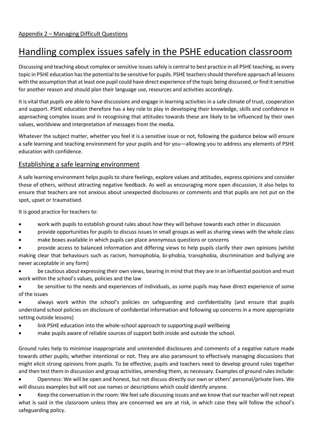## Handling complex issues safely in the PSHE education classroom

Discussing and teaching about complex or sensitive issues safely is central to best practice in all PSHE teaching, as every topic in PSHE education has the potential to be sensitive for pupils. PSHE teachers should therefore approach all lessons with the assumption that at least one pupil could have direct experience of the topic being discussed, or find it sensitive for another reason and should plan their language use, resources and activities accordingly.

It is vital that pupils are able to have discussions and engage in learning activities in a safe climate of trust, cooperation and support. PSHE education therefore has a key role to play in developing their knowledge, skills and confidence in approaching complex issues and in recognising that attitudes towards these are likely to be influenced by their own values, worldview and interpretation of messages from the media.

Whatever the subject matter, whether you feel it is a sensitive issue or not, following the guidance below will ensure a safe learning and teaching environment for your pupils and for you—allowing you to address any elements of PSHE education with confidence.

## Establishing a safe learning environment

A safe learning environment helps pupils to share feelings, explore values and attitudes, express opinions and consider those of others, without attracting negative feedback. As well as encouraging more open discussion, it also helps to ensure that teachers are not anxious about unexpected disclosures or comments and that pupils are not put on the spot, upset or traumatised.

It is good practice for teachers to:

- work with pupils to establish ground rules about how they will behave towards each other in discussion
- provide opportunities for pupils to discuss issues in small groups as well as sharing views with the whole class
- make boxes available in which pupils can place anonymous questions or concerns
- provide access to balanced information and differing views to help pupils clarify their own opinions (whilst making clear that behaviours such as racism, homophobia, bi-phobia, transphobia, discrimination and bullying are never acceptable in any form)
- be cautious about expressing their own views, bearing in mind that they are in an influential position and must work within the school's values, policies and the law
- be sensitive to the needs and experiences of individuals, as some pupils may have direct experience of some of the issues
- always work within the school's policies on safeguarding and confidentiality (and ensure that pupils understand school policies on disclosure of confidential information and following up concerns in a more appropriate setting outside lessons)
- link PSHE education into the whole-school approach to supporting pupil wellbeing
- make pupils aware of reliable sources of support both inside and outside the school.

Ground rules help to minimise inappropriate and unintended disclosures and comments of a negative nature made towards other pupils; whether intentional or not. They are also paramount to effectively managing discussions that might elicit strong opinions from pupils. To be effective, pupils and teachers need to develop ground rules together and then test them in discussion and group activities, amending them, as necessary. Examples of ground rules include:

• Openness: We will be open and honest, but not discuss directly our own or others' personal/private lives. We will discuss examples but will not use names or descriptions which could identify anyone.

• Keep the conversation in the room: We feel safe discussing issues and we know that our teacher will not repeat what is said in the classroom unless they are concerned we are at risk, in which case they will follow the school's safeguarding policy.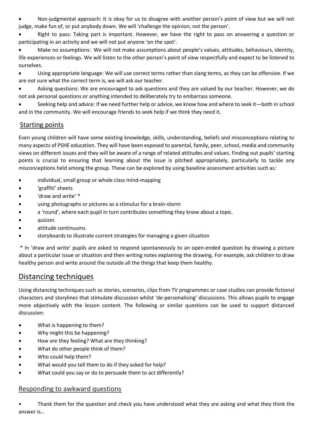• Non-judgmental approach: It is okay for us to disagree with another person's point of view but we will not judge, make fun of, or put anybody down. We will 'challenge the opinion, not the person'.

• Right to pass: Taking part is important. However, we have the right to pass on answering a question or participating in an activity and we will not put anyone 'on the spot'.

• Make no assumptions: We will not make assumptions about people's values, attitudes, behaviours, identity, life experiences or feelings. We will listen to the other person's point of view respectfully and expect to be listened to ourselves.

• Using appropriate language: We will use correct terms rather than slang terms, as they can be offensive. If we are not sure what the correct term is, we will ask our teacher.

• Asking questions: We are encouraged to ask questions and they are valued by our teacher. However, we do not ask personal questions or anything intended to deliberately try to embarrass someone.

• Seeking help and advice: If we need further help or advice, we know how and where to seek it—both in school and in the community. We will encourage friends to seek help if we think they need it.

## Starting points

Even young children will have some existing knowledge, skills, understanding, beliefs and misconceptions relating to many aspects of PSHE education. They will have been exposed to parental, family, peer, school, media and community views on different issues and they will be aware of a range of related attitudes and values. Finding out pupils' starting points is crucial to ensuring that learning about the issue is pitched appropriately, particularly to tackle any misconceptions held among the group. These can be explored by using baseline assessment activities such as:

- individual, small group or whole class mind-mapping
- 'graffiti' sheets
- 'draw and write' \*
- using photographs or pictures as a stimulus for a brain-storm
- a 'round', where each pupil in turn contributes something they know about a topic.
- quizzes
- attitude continuums
- storyboards to illustrate current strategies for managing a given situation

\* In 'draw and write' pupils are asked to respond spontaneously to an open-ended question by drawing a picture about a particular issue or situation and then writing notes explaining the drawing. For example, ask children to draw healthy person and write around the outside all the things that keep them healthy.

## Distancing techniques

Using distancing techniques such as stories, scenarios, clips from TV programmes or case studies can provide fictional characters and storylines that stimulate discussion whilst 'de-personalising' discussions. This allows pupils to engage more objectively with the lesson content. The following or similar questions can be used to support distanced discussion:

- What is happening to them?
- Why might this be happening?
- How are they feeling? What are they thinking?
- What do other people think of them?
- Who could help them?
- What would you tell them to do if they asked for help?
- What could you say or do to persuade them to act differently?

## Responding to awkward questions

• Thank them for the question and check you have understood what they are asking and what they think the answer is…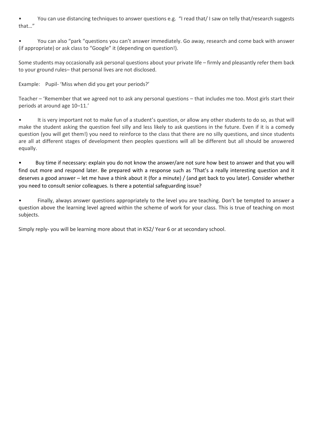• You can use distancing techniques to answer questions e.g. "I read that/ I saw on telly that/research suggests that…"

• You can also "park "questions you can't answer immediately. Go away, research and come back with answer (if appropriate) or ask class to "Google" it (depending on question!).

Some students may occasionally ask personal questions about your private life – firmly and pleasantly refer them back to your ground rules– that personal lives are not disclosed.

Example: Pupil- 'Miss when did you get your periods?'

Teacher – 'Remember that we agreed not to ask any personal questions – that includes me too. Most girls start their periods at around age 10–11.'

• It is very important not to make fun of a student's question, or allow any other students to do so, as that will make the student asking the question feel silly and less likely to ask questions in the future. Even if it is a comedy question (you will get them!) you need to reinforce to the class that there are no silly questions, and since students are all at different stages of development then peoples questions will all be different but all should be answered equally.

• Buy time if necessary: explain you do not know the answer/are not sure how best to answer and that you will find out more and respond later. Be prepared with a response such as 'That's a really interesting question and it deserves a good answer – let me have a think about it (for a minute) / (and get back to you later). Consider whether you need to consult senior colleagues. Is there a potential safeguarding issue?

• Finally, always answer questions appropriately to the level you are teaching. Don't be tempted to answer a question above the learning level agreed within the scheme of work for your class. This is true of teaching on most subjects.

Simply reply- you will be learning more about that in KS2/ Year 6 or at secondary school.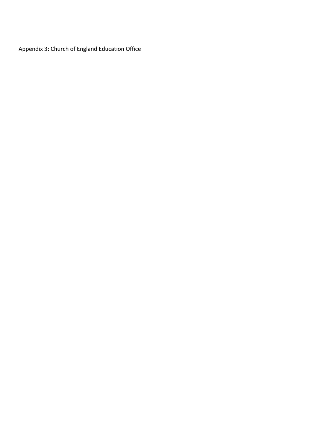## Appendix 3: Church of England Education Office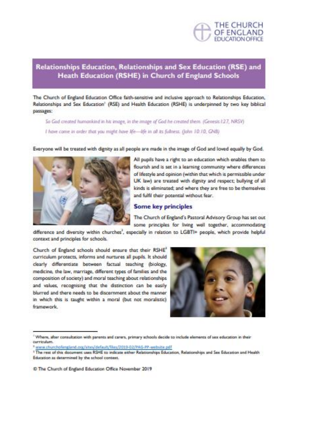

## Relationships Education, Relationships and Sex Education (RSE) and **Heath Education (RSHE) in Church of England Schools**

The Church of England Education Office faith-sensitive and inclusive approach to Relationships Education. Relationships and Sex Education' (RSE) and Health Education (RSHE) is underpinned by two key biblical passages:

So God created humanishd in his image, in the image of God he created them. (Genesis E27, NRSV) I have come in order that you might have life-life in all its follness. (John 10:10, GNB)

Everyone will be treated with dignity as all people are made in the image of God and loved equally by God.



All pupils have a right to an education which enables them to flourish and is set in a learning community where differences of lifestyle and opinion (within that which is permissible under UK law) are treated with dignity and respect; bullying of all kinds is eliminated; and where they are free to be themselves and fulfil their potential without fear.

#### **Some key principles**

The Church of England's Pastoral Advisory Group has set out some principles for living well together, accommodating

difference and diversity within churches', especially in relation to LGBTI+ people, which provide helpful context and principles for schools.

Church of England schools should ensure that their RSHE<sup>1</sup> curriculum protects, informs and nurtures all pupils. It should clearly differentiate between factual teaching (biology, medicine, the law, marriage, different types of families and the composition of society) and moral teaching about relationships and values, recognising that the distinction can be easily blurred and there needs to be discernment about the manner in which this is taught within a moral (but not moralistic) framework.



Vihere, after consultation with parents and carers, primary schools decide to include elements of sex education in their curriculum.

www.churchofungland.org/sites/default/files/2019-02/9AG-PP-website.pdf

<sup>&</sup>lt;sup>1</sup> The rest of this document uses RSHE to indicate either Relationships Education, Relationships and Sex Education and Health Education as determined by the school context.

<sup>10</sup> The Church of England Education Office November 2019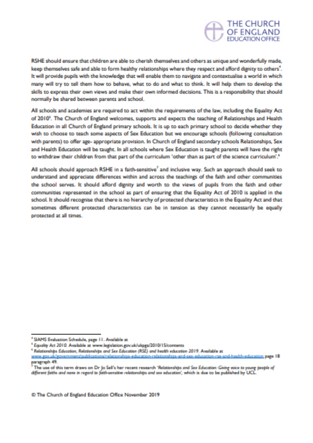

RSHE should ensure that children are able to cherish themselves and others as unique and wonderfully made. keep themselves safe and able to form healthy relationships where they respect and afford dimity to others". It will provide pupils with the knowledge that will enable them to navigate and contextualise a world in which many will try to tell them how to behave, what to do and what to think, it will help them to develop the skills to express their own views and make their own informed decisions. This is a responsibility that should normally be shared between parents and school.

All schools and academies are required to act within the requirements of the law, including the Equality Act of 2010<sup>5</sup>. The Church of England welcomes, supports and expects the teaching of Relationships and Health Education in all Church of England primary schools. It is up to each primary school to decide whether they wish to choose to teach some aspects of Sex Education but we encourage schools (following consultation with parents) to offer age- appropriate provision. In Church of England secondary schools Relationships. Sex and Health Education will be taught. In all schools where Sex Education is taught parents will have the right to withdraw their children from that part of the curriculum 'other than as part of the science curriculum'.<sup>4</sup>

All schools should approach RSHE in a faith-sensitive<sup>7</sup> and inclusive way. Such an approach should seek to understand and appreciate differences within and across the teachings of the faith and other communities the school serves. It should afford dignity and worth to the views of pupils from the faith and other communities represented in the school as part of ensuring that the Equality Act of 2010 is applied in the school. It should recognise that there is no hierarchy of protected characteristics in the Equality Act and that sometimes different protected characteristics can be in tension as they cannot necessarily be equally protected at all times.

<sup>&</sup>lt;sup>4</sup> SIAMS Evaluation Schedule, page 11. Available at

<sup>&</sup>lt;sup>1</sup> Equality Act 2010. Available at www.legislation.gov.uk/ukpgs/2010/15/contents

<sup>&</sup>lt;sup>6</sup> Relationships Education, Relationships and Sex Education (RSE) and health education 2019. Available at

www.sov.uk/sovernment/publications/relationships-education-relationships-and-sex-education-rse-and-health-education page 18

paragraph 49.<br><sup>7</sup> The use of this term draws on Dr Jo Sell's her recent research 'Relationships *and Sex Education: Gwing voice to young people of* different faiths and none in regard to faith-sensitive relationships and sex education, which is due to be published by UCL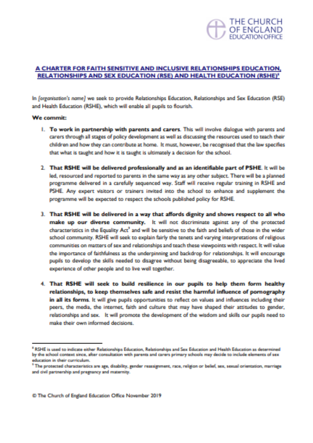

## A CHARTER FOR FAITH SENSITIVE AND INCLUSIVE RELATIONSHIPS EDUCATION. RELATIONSHIPS AND SEX EDUCATION (RSE) AND HEALTH EDUCATION (RSHE)<sup>1</sup>

In forganisation's name) we seek to provide Relationships Education, Relationships and Sex Education (RSE) and Health Education (RSHE), which will enable all pupils to flourish.

#### We commit:

- 1. To work in partnership with parents and carers. This will involve dialogue with parents and carers through all stages of policy development as well as discussing the resources used to teach their children and how they can contribute at home. It must, however, be recognised that the law specifies that what is taught and how it is taught is ultimately a decision for the school.
- 2. That RSHE will be delivered professionally and as an identifiable part of PSHE. It will be led, resourced and reported to parents in the same way as any other subject. There will be a planned programme delivered in a carefully sequenced way. Staff will receive regular training in RSHE and PSHE. Any expert visitors or trainers invited into the school to enhance and supplement the programme will be expected to respect the schools published policy for RSHE.
- 3. That RSHE will be delivered in a way that affords dignity and shows respect to all who make up our diverse community. It will not discriminate against any of the protected characteristics in the Equality Act<sup>3</sup> and will be sensitive to the faith and beliefs of those in the wider school community. RSHE will seek to explain fairly the tenets and varying interpretations of religious communities on matters of sex and relationships and teach these viewpoints with respect. It will value the importance of faithfulness as the underpinning and backdrop for relationships. It will encourage pupils to develop the skills needed to disagree without being disagreeable, to appreciate the lived experience of other people and to live well together.
- 4. That RSHE will seek to build resilience in our pupils to help them form healthy relationships, to keep themselves safe and resist the harmful influence of pornography in all its forms. It will give pupils opportunities to reflect on values and influences including their peers, the media, the internet, faith and culture that may have shaped their attitudes to gender, relationships and sex. It will promote the development of the wisdom and skills our pupils need to make their own informed decisions.

<sup>&</sup>lt;sup>8</sup> RSHE is used to indicate either Relationships Education, Relationships and Sex Education and Health Education as determined by the school context since, after consultation with parents and carers primary schools may decide to include elements of sex education in their curriculum.

The protected characteristics are age, disability, gender reassignment, race, religion or belief, sex, sexual orientation, marriage and civil partnership and pregnancy and maternity.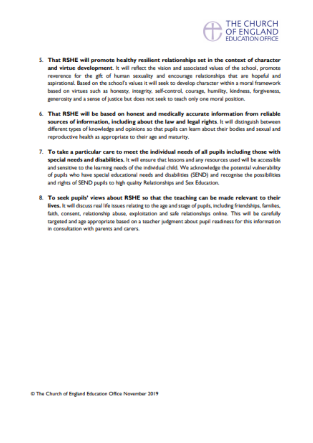

- 5. That RSHE will promote healthy resilient relationships set in the context of character and virtue development, it will reflect the vision and associated values of the school, promote reverence for the gift of human sexuality and encourage relationships that are hopeful and aspirational. Based on the school's values it will seek to develop character within a moral framework based on virtues such as honesty, integrity, self-control, courage, humility, kindness, forgiveness, generosity and a sense of justice but does not seek to teach only one moral position.
- 6. That RSHE will be based on honest and medically accurate information from reliable sources of information, including about the law and legal rights. It will distinguish between different types of knowledge and opinions so that pupils can learn about their bodies and sexual and reproductive health as appropriate to their age and maturity.
- 7. To take a particular care to meet the individual needs of all pupils including those with special needs and disabilities. It will ensure that lessons and any resources used will be accessible and sensitive to the learning needs of the individual child. We acknowledge the potential vulnerability of pupils who have special educational needs and disabilities (SEND) and recognise the possibilities and rights of SEND pupils to high quality Relationships and Sex Education.
- 8. To seek pupils' views about RSHE so that the teaching can be made relevant to their lives. It will discuss real life issues relating to the age and stage of pupils, including friendships, families, faith, consent, relationship abuse, exploitation and safe relationships online. This will be carefully targeted and age appropriate based on a teacher judgment about pupil readiness for this information in consultation with parents and carers.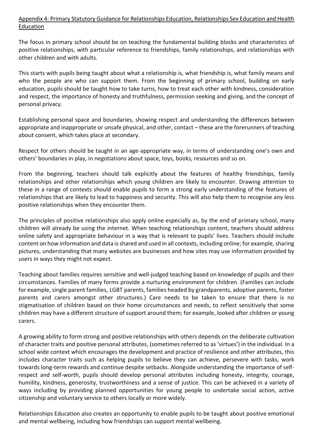## Appendix 4: Primary Statutory Guidance for Relationships Education, Relationships Sex Education and Health **Education**

The focus in primary school should be on teaching the fundamental building blocks and characteristics of positive relationships, with particular reference to friendships, family relationships, and relationships with other children and with adults.

This starts with pupils being taught about what a relationship is, what friendship is, what family means and who the people are who can support them. From the beginning of primary school, building on early education, pupils should be taught how to take turns, how to treat each other with kindness, consideration and respect, the importance of honesty and truthfulness, permission seeking and giving, and the concept of personal privacy.

Establishing personal space and boundaries, showing respect and understanding the differences between appropriate and inappropriate or unsafe physical, and other, contact – these are the forerunners of teaching about consent, which takes place at secondary.

Respect for others should be taught in an age-appropriate way, in terms of understanding one's own and others' boundaries in play, in negotiations about space, toys, books, resources and so on.

From the beginning, teachers should talk explicitly about the features of healthy friendships, family relationships and other relationships which young children are likely to encounter. Drawing attention to these in a range of contexts should enable pupils to form a strong early understanding of the features of relationships that are likely to lead to happiness and security. This will also help them to recognise any less positive relationships when they encounter them.

The principles of positive relationships also apply online especially as, by the end of primary school, many children will already be using the internet. When teaching relationships content, teachers should address online safety and appropriate behaviour in a way that is relevant to pupils' lives. Teachers should include content on how information and data is shared and used in all contexts, including online; for example, sharing pictures, understanding that many websites are businesses and how sites may use information provided by users in ways they might not expect.

Teaching about families requires sensitive and well-judged teaching based on knowledge of pupils and their circumstances. Families of many forms provide a nurturing environment for children. (Families can include for example, single parent families, LGBT parents, families headed by grandparents, adoptive parents, foster parents and carers amongst other structures.) Care needs to be taken to ensure that there is no stigmatisation of children based on their home circumstances and needs, to reflect sensitively that some children may have a different structure of support around them; for example, looked after children or young carers.

A growing ability to form strong and positive relationships with others depends on the deliberate cultivation of character traits and positive personal attributes, (sometimes referred to as 'virtues') in the individual. In a school wide context which encourages the development and practice of resilience and other attributes, this includes character traits such as helping pupils to believe they can achieve, persevere with tasks, work towards long-term rewards and continue despite setbacks. Alongside understanding the importance of selfrespect and self-worth, pupils should develop personal attributes including honesty, integrity, courage, humility, kindness, generosity, trustworthiness and a sense of justice. This can be achieved in a variety of ways including by providing planned opportunities for young people to undertake social action, active citizenship and voluntary service to others locally or more widely.

Relationships Education also creates an opportunity to enable pupils to be taught about positive emotional and mental wellbeing, including how friendships can support mental wellbeing.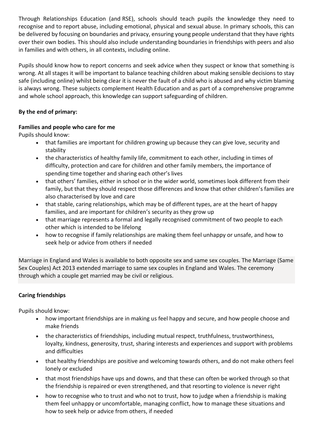Through Relationships Education (and RSE), schools should teach pupils the knowledge they need to recognise and to report abuse, including emotional, physical and sexual abuse. In primary schools, this can be delivered by focusing on boundaries and privacy, ensuring young people understand that they have rights over their own bodies. This should also include understanding boundaries in friendships with peers and also in families and with others, in all contexts, including online.

Pupils should know how to report concerns and seek advice when they suspect or know that something is wrong. At all stages it will be important to balance teaching children about making sensible decisions to stay safe (including online) whilst being clear it is never the fault of a child who is abused and why victim blaming is always wrong. These subjects complement Health Education and as part of a comprehensive programme and whole school approach, this knowledge can support safeguarding of children.

## **By the end of primary:**

## **Families and people who care for me**

Pupils should know:

- that families are important for children growing up because they can give love, security and stability
- the characteristics of healthy family life, commitment to each other, including in times of difficulty, protection and care for children and other family members, the importance of spending time together and sharing each other's lives
- that others' families, either in school or in the wider world, sometimes look different from their family, but that they should respect those differences and know that other children's families are also characterised by love and care
- that stable, caring relationships, which may be of different types, are at the heart of happy families, and are important for children's security as they grow up
- that marriage represents a formal and legally recognised commitment of two people to each other which is intended to be lifelong
- how to recognise if family relationships are making them feel unhappy or unsafe, and how to seek help or advice from others if needed

Marriage in England and Wales is available to both opposite sex and same sex couples. The Marriage (Same Sex Couples) Act 2013 extended marriage to same sex couples in England and Wales. The ceremony through which a couple get married may be civil or religious.

## **Caring friendships**

Pupils should know:

- how important friendships are in making us feel happy and secure, and how people choose and make friends
- the characteristics of friendships, including mutual respect, truthfulness, trustworthiness, loyalty, kindness, generosity, trust, sharing interests and experiences and support with problems and difficulties
- that healthy friendships are positive and welcoming towards others, and do not make others feel lonely or excluded
- that most friendships have ups and downs, and that these can often be worked through so that the friendship is repaired or even strengthened, and that resorting to violence is never right
- how to recognise who to trust and who not to trust, how to judge when a friendship is making them feel unhappy or uncomfortable, managing conflict, how to manage these situations and how to seek help or advice from others, if needed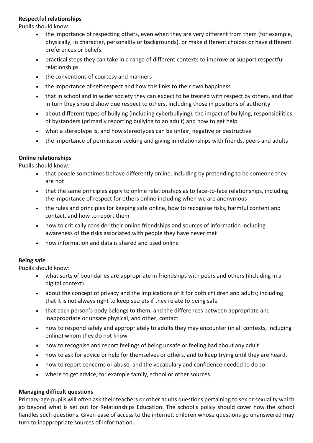## **Respectful relationships**

Pupils should know:

- the importance of respecting others, even when they are very different from them (for example, physically, in character, personality or backgrounds), or make different choices or have different preferences or beliefs
- practical steps they can take in a range of different contexts to improve or support respectful relationships
- the conventions of courtesy and manners
- the importance of self-respect and how this links to their own happiness
- that in school and in wider society they can expect to be treated with respect by others, and that in turn they should show due respect to others, including those in positions of authority
- about different types of bullying (including cyberbullying), the impact of bullying, responsibilities of bystanders (primarily reporting bullying to an adult) and how to get help
- what a stereotype is, and how stereotypes can be unfair, negative or destructive
- the importance of permission-seeking and giving in relationships with friends, peers and adults

## **Online relationships**

Pupils should know:

- that people sometimes behave differently online, including by pretending to be someone they are not
- that the same principles apply to online relationships as to face-to-face relationships, including the importance of respect for others online including when we are anonymous
- the rules and principles for keeping safe online, how to recognise risks, harmful content and contact, and how to report them
- how to critically consider their online friendships and sources of information including awareness of the risks associated with people they have never met
- how information and data is shared and used online

## **Being safe**

Pupils should know:

- what sorts of boundaries are appropriate in friendships with peers and others (including in a digital context)
- about the concept of privacy and the implications of it for both children and adults; including that it is not always right to keep secrets if they relate to being safe
- that each person's body belongs to them, and the differences between appropriate and inappropriate or unsafe physical, and other, contact
- how to respond safely and appropriately to adults they may encounter (in all contexts, including online) whom they do not know
- how to recognise and report feelings of being unsafe or feeling bad about any adult
- how to ask for advice or help for themselves or others, and to keep trying until they are heard,
- how to report concerns or abuse, and the vocabulary and confidence needed to do so
- where to get advice, for example family, school or other sources

## **Managing difficult questions**

Primary-age pupils will often ask their teachers or other adults questions pertaining to sex or sexuality which go beyond what is set out for Relationships Education. The school's policy should cover how the school handles such questions. Given ease of access to the internet, children whose questions go unanswered may turn to inappropriate sources of information.